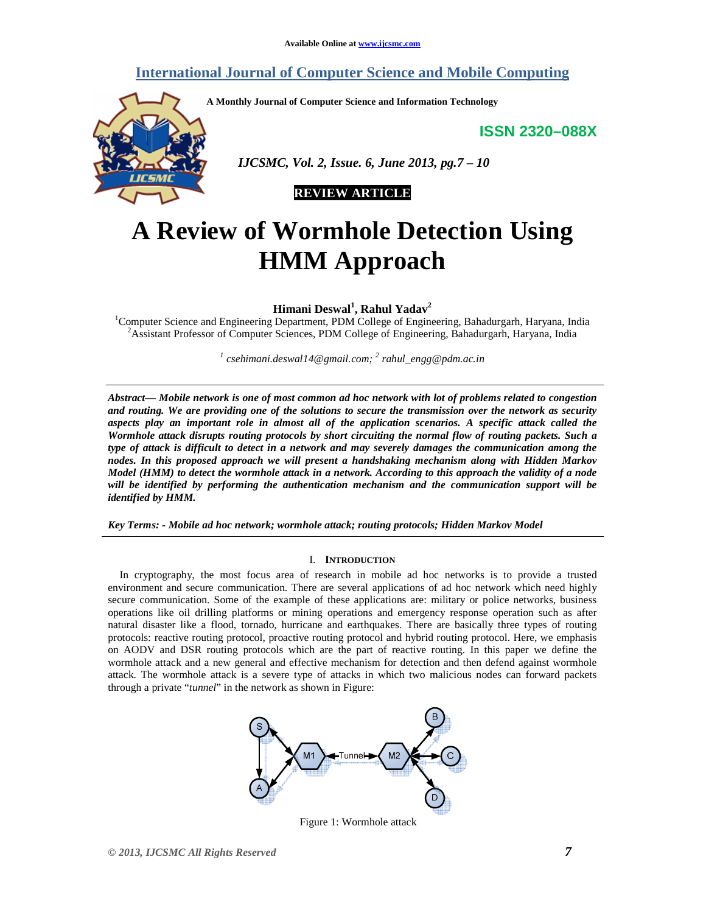# **International Journal of Computer Science and Mobile Computing**

**A Monthly Journal of Computer Science and Information Technology** 

**ISSN 2320–088X**



 *IJCSMC, Vol. 2, Issue. 6, June 2013, pg.7 – 10* 

# **REVIEW ARTICLE**

# **A Review of Wormhole Detection Using HMM Approach**

**Himani Deswal<sup>1</sup> , Rahul Yadav<sup>2</sup>**

<sup>1</sup>Computer Science and Engineering Department, PDM College of Engineering, Bahadurgarh, Haryana, India <sup>2</sup>Assistant Professor of Computer Sciences, PDM College of Engineering, Bahadurgarh, Haryana, India

*1 csehimani.deswal14@gmail.com; <sup>2</sup> rahul\_engg@pdm.ac.in* 

*Abstract— Mobile network is one of most common ad hoc network with lot of problems related to congestion and routing. We are providing one of the solutions to secure the transmission over the network as security aspects play an important role in almost all of the application scenarios. A specific attack called the Wormhole attack disrupts routing protocols by short circuiting the normal flow of routing packets. Such a type of attack is difficult to detect in a network and may severely damages the communication among the nodes. In this proposed approach we will present a handshaking mechanism along with Hidden Markov Model (HMM) to detect the wormhole attack in a network. According to this approach the validity of a node will be identified by performing the authentication mechanism and the communication support will be identified by HMM.* 

*Key Terms: - Mobile ad hoc network; wormhole attack; routing protocols; Hidden Markov Model* 

## I. **INTRODUCTION**

In cryptography, the most focus area of research in mobile ad hoc networks is to provide a trusted environment and secure communication. There are several applications of ad hoc network which need highly secure communication. Some of the example of these applications are: military or police networks, business operations like oil drilling platforms or mining operations and emergency response operation such as after natural disaster like a flood, tornado, hurricane and earthquakes. There are basically three types of routing protocols: reactive routing protocol, proactive routing protocol and hybrid routing protocol. Here, we emphasis on AODV and DSR routing protocols which are the part of reactive routing. In this paper we define the wormhole attack and a new general and effective mechanism for detection and then defend against wormhole attack. The wormhole attack is a severe type of attacks in which two malicious nodes can forward packets through a private "*tunnel*" in the network as shown in Figure:



Figure 1: Wormhole attack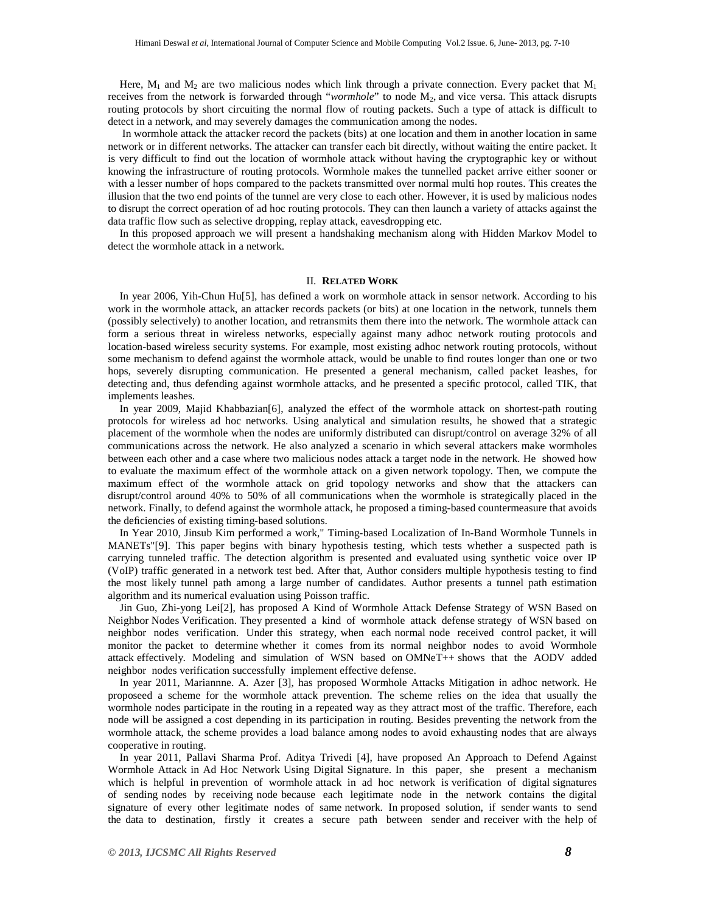Here,  $M_1$  and  $M_2$  are two malicious nodes which link through a private connection. Every packet that  $M_1$ receives from the network is forwarded through "*wormhole*" to node M<sub>2</sub>, and vice versa. This attack disrupts routing protocols by short circuiting the normal flow of routing packets. Such a type of attack is difficult to detect in a network, and may severely damages the communication among the nodes.

 In wormhole attack the attacker record the packets (bits) at one location and them in another location in same network or in different networks. The attacker can transfer each bit directly, without waiting the entire packet. It is very difficult to find out the location of wormhole attack without having the cryptographic key or without knowing the infrastructure of routing protocols. Wormhole makes the tunnelled packet arrive either sooner or with a lesser number of hops compared to the packets transmitted over normal multi hop routes. This creates the illusion that the two end points of the tunnel are very close to each other. However, it is used by malicious nodes to disrupt the correct operation of ad hoc routing protocols. They can then launch a variety of attacks against the data traffic flow such as selective dropping, replay attack, eavesdropping etc.

In this proposed approach we will present a handshaking mechanism along with Hidden Markov Model to detect the wormhole attack in a network.

## II. **RELATED WORK**

In year 2006, Yih-Chun Hu[5], has defined a work on wormhole attack in sensor network. According to his work in the wormhole attack, an attacker records packets (or bits) at one location in the network, tunnels them (possibly selectively) to another location, and retransmits them there into the network. The wormhole attack can form a serious threat in wireless networks, especially against many adhoc network routing protocols and location-based wireless security systems. For example, most existing adhoc network routing protocols, without some mechanism to defend against the wormhole attack, would be unable to find routes longer than one or two hops, severely disrupting communication. He presented a general mechanism, called packet leashes, for detecting and, thus defending against wormhole attacks, and he presented a specific protocol, called TIK, that implements leashes.

In year 2009, Majid Khabbazian[6], analyzed the effect of the wormhole attack on shortest-path routing protocols for wireless ad hoc networks. Using analytical and simulation results, he showed that a strategic placement of the wormhole when the nodes are uniformly distributed can disrupt/control on average 32% of all communications across the network. He also analyzed a scenario in which several attackers make wormholes between each other and a case where two malicious nodes attack a target node in the network. He showed how to evaluate the maximum effect of the wormhole attack on a given network topology. Then, we compute the maximum effect of the wormhole attack on grid topology networks and show that the attackers can disrupt/control around 40% to 50% of all communications when the wormhole is strategically placed in the network. Finally, to defend against the wormhole attack, he proposed a timing-based countermeasure that avoids the deficiencies of existing timing-based solutions.

In Year 2010, Jinsub Kim performed a work," Timing-based Localization of In-Band Wormhole Tunnels in MANETs"[9]. This paper begins with binary hypothesis testing, which tests whether a suspected path is carrying tunneled traffic. The detection algorithm is presented and evaluated using synthetic voice over IP (VoIP) traffic generated in a network test bed. After that, Author considers multiple hypothesis testing to find the most likely tunnel path among a large number of candidates. Author presents a tunnel path estimation algorithm and its numerical evaluation using Poisson traffic.

Jin Guo, Zhi-yong Lei[2], has proposed A Kind of Wormhole Attack Defense Strategy of WSN Based on Neighbor Nodes Verification. They presented a kind of wormhole attack defense strategy of WSN based on neighbor nodes verification. Under this strategy, when each normal node received control packet, it will monitor the packet to determine whether it comes from its normal neighbor nodes to avoid Wormhole attack effectively. Modeling and simulation of WSN based on OMNeT++ shows that the AODV added neighbor nodes verification successfully implement effective defense.

In year 2011, Mariannne. A. Azer [3], has proposed Wormhole Attacks Mitigation in adhoc network. He proposeed a scheme for the wormhole attack prevention. The scheme relies on the idea that usually the wormhole nodes participate in the routing in a repeated way as they attract most of the traffic. Therefore, each node will be assigned a cost depending in its participation in routing. Besides preventing the network from the wormhole attack, the scheme provides a load balance among nodes to avoid exhausting nodes that are always cooperative in routing.

In year 2011, Pallavi Sharma Prof. Aditya Trivedi [4], have proposed An Approach to Defend Against Wormhole Attack in Ad Hoc Network Using Digital Signature. In this paper, she present a mechanism which is helpful in prevention of wormhole attack in ad hoc network is verification of digital signatures of sending nodes by receiving node because each legitimate node in the network contains the digital signature of every other legitimate nodes of same network. In proposed solution, if sender wants to send the data to destination, firstly it creates a secure path between sender and receiver with the help of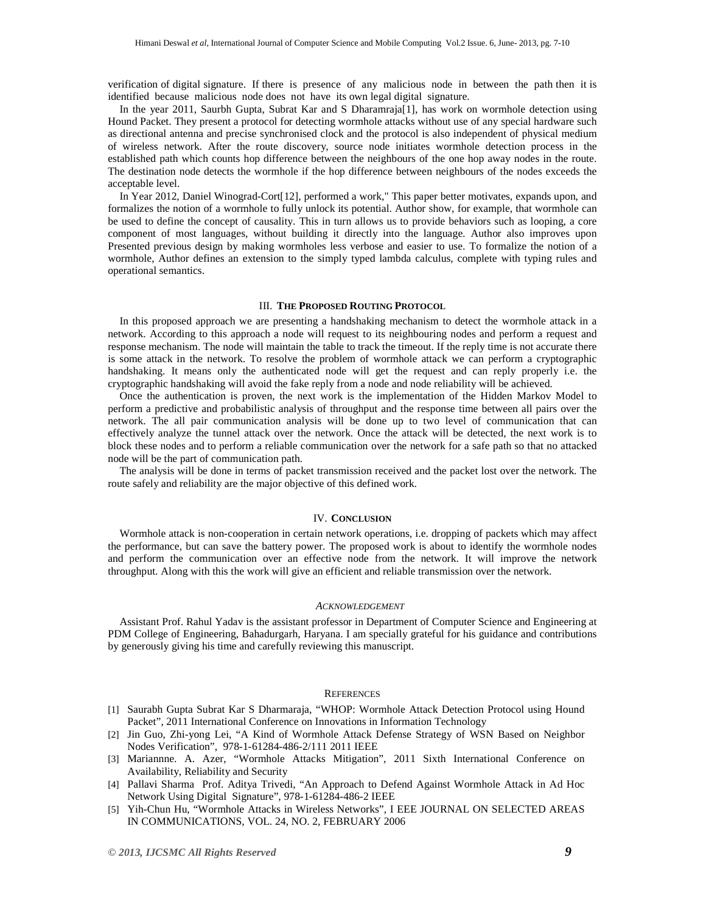verification of digital signature. If there is presence of any malicious node in between the path then it is identified because malicious node does not have its own legal digital signature.

In the year 2011, Saurbh Gupta, Subrat Kar and S Dharamraja[1], has work on wormhole detection using Hound Packet. They present a protocol for detecting wormhole attacks without use of any special hardware such as directional antenna and precise synchronised clock and the protocol is also independent of physical medium of wireless network. After the route discovery, source node initiates wormhole detection process in the established path which counts hop difference between the neighbours of the one hop away nodes in the route. The destination node detects the wormhole if the hop difference between neighbours of the nodes exceeds the acceptable level.

In Year 2012, Daniel Winograd-Cort[12], performed a work," This paper better motivates, expands upon, and formalizes the notion of a wormhole to fully unlock its potential. Author show, for example, that wormhole can be used to define the concept of causality. This in turn allows us to provide behaviors such as looping, a core component of most languages, without building it directly into the language. Author also improves upon Presented previous design by making wormholes less verbose and easier to use. To formalize the notion of a wormhole, Author defines an extension to the simply typed lambda calculus, complete with typing rules and operational semantics.

# III. **THE PROPOSED ROUTING PROTOCOL**

In this proposed approach we are presenting a handshaking mechanism to detect the wormhole attack in a network. According to this approach a node will request to its neighbouring nodes and perform a request and response mechanism. The node will maintain the table to track the timeout. If the reply time is not accurate there is some attack in the network. To resolve the problem of wormhole attack we can perform a cryptographic handshaking. It means only the authenticated node will get the request and can reply properly i.e. the cryptographic handshaking will avoid the fake reply from a node and node reliability will be achieved.

Once the authentication is proven, the next work is the implementation of the Hidden Markov Model to perform a predictive and probabilistic analysis of throughput and the response time between all pairs over the network. The all pair communication analysis will be done up to two level of communication that can effectively analyze the tunnel attack over the network. Once the attack will be detected, the next work is to block these nodes and to perform a reliable communication over the network for a safe path so that no attacked node will be the part of communication path.

The analysis will be done in terms of packet transmission received and the packet lost over the network. The route safely and reliability are the major objective of this defined work.

#### IV. **CONCLUSION**

Wormhole attack is non-cooperation in certain network operations, i.e. dropping of packets which may affect the performance, but can save the battery power. The proposed work is about to identify the wormhole nodes and perform the communication over an effective node from the network. It will improve the network throughput. Along with this the work will give an efficient and reliable transmission over the network.

#### *ACKNOWLEDGEMENT*

Assistant Prof. Rahul Yadav is the assistant professor in Department of Computer Science and Engineering at PDM College of Engineering, Bahadurgarh, Haryana. I am specially grateful for his guidance and contributions by generously giving his time and carefully reviewing this manuscript.

## **REFERENCES**

- [1] Saurabh Gupta Subrat Kar S Dharmaraja, "WHOP: Wormhole Attack Detection Protocol using Hound Packet", 2011 International Conference on Innovations in Information Technology
- [2] Jin Guo, Zhi-yong Lei, "A Kind of Wormhole Attack Defense Strategy of WSN Based on Neighbor Nodes Verification", 978-1-61284-486-2/111 2011 IEEE
- [3] Mariannne. A. Azer, "Wormhole Attacks Mitigation", 2011 Sixth International Conference on Availability, Reliability and Security
- [4] Pallavi Sharma Prof. Aditya Trivedi, "An Approach to Defend Against Wormhole Attack in Ad Hoc Network Using Digital Signature", 978-1-61284-486-2 IEEE
- [5] Yih-Chun Hu, "Wormhole Attacks in Wireless Networks", I EEE JOURNAL ON SELECTED AREAS IN COMMUNICATIONS, VOL. 24, NO. 2, FEBRUARY 2006